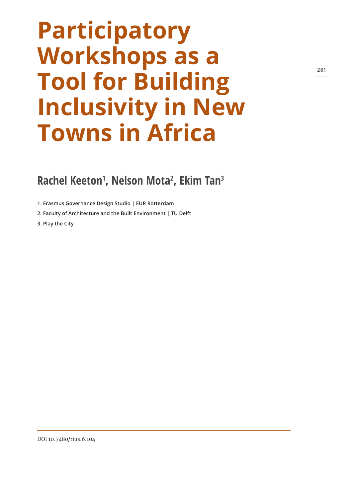# **Participatory Workshops as a Tool for Building Inclusivity in New Towns in Africa**

## **Rachel Keeton1 , Nelson Mota2 , Ekim Tan3**

**1. Erasmus Governance Design Studio | EUR Rotterdam**

**2. Faculty of Architecture and the Built Environment | TU Delft**

**3. Play the City**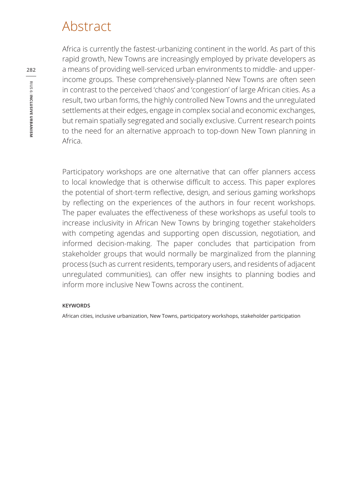# Abstract

Africa is currently the fastest-urbanizing continent in the world. As part of this rapid growth, New Towns are increasingly employed by private developers as a means of providing well-serviced urban environments to middle- and upperincome groups. These comprehensively-planned New Towns are often seen in contrast to the perceived 'chaos' and 'congestion' of large African cities. As a result, two urban forms, the highly controlled New Towns and the unregulated settlements at their edges, engage in complex social and economic exchanges, but remain spatially segregated and socially exclusive. Current research points to the need for an alternative approach to top-down New Town planning in Africa.

Participatory workshops are one alternative that can offer planners access to local knowledge that is otherwise difficult to access. This paper explores the potential of short-term reflective, design, and serious gaming workshops by reflecting on the experiences of the authors in four recent workshops. The paper evaluates the effectiveness of these workshops as useful tools to increase inclusivity in African New Towns by bringing together stakeholders with competing agendas and supporting open discussion, negotiation, and informed decision-making. The paper concludes that participation from stakeholder groups that would normally be marginalized from the planning process (such as current residents, temporary users, and residents of adjacent unregulated communities), can offer new insights to planning bodies and inform more inclusive New Towns across the continent.

#### **KEYWORDS**

African cities, inclusive urbanization, New Towns, participatory workshops, stakeholder participation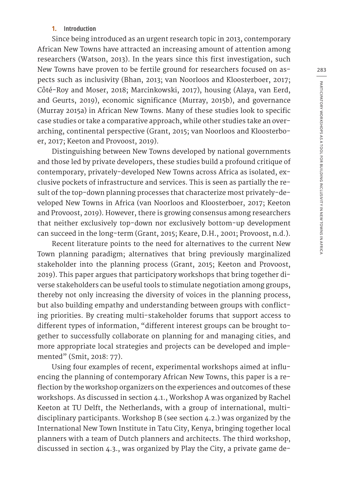#### **1. Introduction**

Since being introduced as an urgent research topic in 2013, contemporary African New Towns have attracted an increasing amount of attention among researchers (Watson, 2013). In the years since this first investigation, such New Towns have proven to be fertile ground for researchers focused on aspects such as inclusivity (Bhan, 2013; van Noorloos and Kloosterboer, 2017; Côté-Roy and Moser, 2018; Marcinkowski, 2017), housing (Alaya, van Eerd, and Geurts, 2019), economic significance (Murray, 2015b), and governance (Murray 2015a) in African New Towns. Many of these studies look to specific case studies or take a comparative approach, while other studies take an overarching, continental perspective (Grant, 2015; van Noorloos and Kloosterboer, 2017; Keeton and Provoost, 2019).

Distinguishing between New Towns developed by national governments and those led by private developers, these studies build a profound critique of contemporary, privately-developed New Towns across Africa as isolated, exclusive pockets of infrastructure and services. This is seen as partially the result of the top-down planning processes that characterize most privately-developed New Towns in Africa (van Noorloos and Kloosterboer, 2017; Keeton and Provoost, 2019). However, there is growing consensus among researchers that neither exclusively top-down nor exclusively bottom-up development can succeed in the long-term (Grant, 2015; Keare, D.H., 2001; Provoost, n.d.).

Recent literature points to the need for alternatives to the current New Town planning paradigm; alternatives that bring previously marginalized stakeholder into the planning process (Grant, 2015; Keeton and Provoost, 2019). This paper argues that participatory workshops that bring together diverse stakeholders can be useful tools to stimulate negotiation among groups, thereby not only increasing the diversity of voices in the planning process, but also building empathy and understanding between groups with conflicting priorities. By creating multi-stakeholder forums that support access to different types of information, "different interest groups can be brought together to successfully collaborate on planning for and managing cities, and more appropriate local strategies and projects can be developed and implemented" (Smit, 2018: 77).

Using four examples of recent, experimental workshops aimed at influencing the planning of contemporary African New Towns, this paper is a reflection by the workshop organizers on the experiences and outcomes of these workshops. As discussed in section 4.1., Workshop A was organized by Rachel Keeton at TU Delft, the Netherlands, with a group of international, multidisciplinary participants. Workshop B (see section 4.2.) was organized by the International New Town Institute in Tatu City, Kenya, bringing together local planners with a team of Dutch planners and architects. The third workshop, discussed in section 4.3., was organized by Play the City, a private game de**283**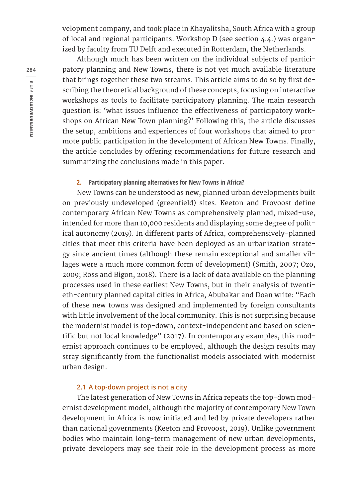velopment company, and took place in Khayalitsha, South Africa with a group of local and regional participants. Workshop D (see section 4.4.) was organized by faculty from TU Delft and executed in Rotterdam, the Netherlands.

Although much has been written on the individual subjects of participatory planning and New Towns, there is not yet much available literature that brings together these two streams. This article aims to do so by first describing the theoretical background of these concepts, focusing on interactive workshops as tools to facilitate participatory planning. The main research question is: 'what issues influence the effectiveness of participatory workshops on African New Town planning?' Following this, the article discusses the setup, ambitions and experiences of four workshops that aimed to promote public participation in the development of African New Towns. Finally, the article concludes by offering recommendations for future research and summarizing the conclusions made in this paper.

#### **2. Participatory planning alternatives for New Towns in Africa?**

New Towns can be understood as new, planned urban developments built on previously undeveloped (greenfield) sites. Keeton and Provoost define contemporary African New Towns as comprehensively planned, mixed-use, intended for more than 10,000 residents and displaying some degree of political autonomy (2019). In different parts of Africa, comprehensively-planned cities that meet this criteria have been deployed as an urbanization strategy since ancient times (although these remain exceptional and smaller villages were a much more common form of development) (Smith, 2007; Ozo, 2009; Ross and Bigon, 2018). There is a lack of data available on the planning processes used in these earliest New Towns, but in their analysis of twentieth-century planned capital cities in Africa, Abubakar and Doan write: "Each of these new towns was designed and implemented by foreign consultants with little involvement of the local community. This is not surprising because the modernist model is top-down, context-independent and based on scientific but not local knowledge" (2017). In contemporary examples, this modernist approach continues to be employed, although the design results may stray significantly from the functionalist models associated with modernist urban design.

#### **2.1 A top-down project is not a city**

The latest generation of New Towns in Africa repeats the top-down modernist development model, although the majority of contemporary New Town development in Africa is now initiated and led by private developers rather than national governments (Keeton and Provoost, 2019). Unlike government bodies who maintain long-term management of new urban developments, private developers may see their role in the development process as more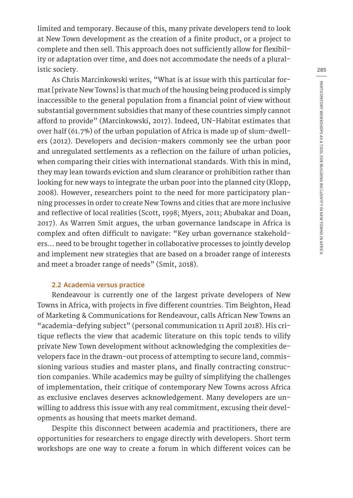limited and temporary. Because of this, many private developers tend to look at New Town development as the creation of a finite product, or a project to complete and then sell. This approach does not sufficiently allow for flexibility or adaptation over time, and does not accommodate the needs of a pluralistic society.

As Chris Marcinkowski writes, "What is at issue with this particular format [private New Towns] is that much of the housing being produced is simply inaccessible to the general population from a financial point of view without substantial government subsidies that many of these countries simply cannot afford to provide" (Marcinkowski, 2017). Indeed, UN-Habitat estimates that over half (61.7%) of the urban population of Africa is made up of slum-dwellers (2012). Developers and decision-makers commonly see the urban poor and unregulated settlements as a reflection on the failure of urban policies, when comparing their cities with international standards. With this in mind, they may lean towards eviction and slum clearance or prohibition rather than looking for new ways to integrate the urban poor into the planned city (Klopp, 2008). However, researchers point to the need for more participatory planning processes in order to create New Towns and cities that are more inclusive and reflective of local realities (Scott, 1998; Myers, 2011; Abubakar and Doan, 2017). As Warren Smit argues, the urban governance landscape in Africa is complex and often difficult to navigate: "Key urban governance stakeholders… need to be brought together in collaborative processes to jointly develop and implement new strategies that are based on a broader range of interests and meet a broader range of needs" (Smit, 2018).

#### **2.2 Academia versus practice**

Rendeavour is currently one of the largest private developers of New Towns in Africa, with projects in five different countries. Tim Beighton, Head of Marketing & Communications for Rendeavour, calls African New Towns an "academia-defying subject" (personal communication 11 April 2018). His critique reflects the view that academic literature on this topic tends to vilify private New Town development without acknowledging the complexities developers face in the drawn-out process of attempting to secure land, commissioning various studies and master plans, and finally contracting construction companies. While academics may be guilty of simplifying the challenges of implementation, their critique of contemporary New Towns across Africa as exclusive enclaves deserves acknowledgement. Many developers are unwilling to address this issue with any real commitment, excusing their developments as housing that meets market demand.

Despite this disconnect between academia and practitioners, there are opportunities for researchers to engage directly with developers. Short term workshops are one way to create a forum in which different voices can be

**285**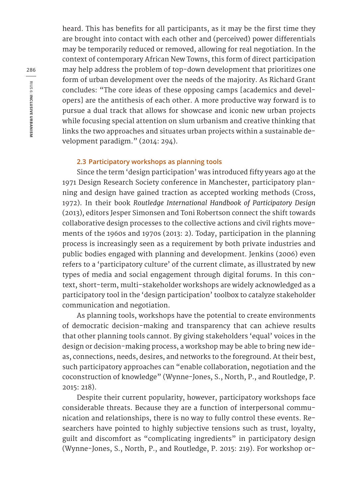heard. This has benefits for all participants, as it may be the first time they are brought into contact with each other and (perceived) power differentials may be temporarily reduced or removed, allowing for real negotiation. In the context of contemporary African New Towns, this form of direct participation may help address the problem of top-down development that prioritizes one form of urban development over the needs of the majority. As Richard Grant concludes: "The core ideas of these opposing camps [academics and developers] are the antithesis of each other. A more productive way forward is to pursue a dual track that allows for showcase and iconic new urban projects while focusing special attention on slum urbanism and creative thinking that links the two approaches and situates urban projects within a sustainable development paradigm." (2014: 294).

#### **2.3 Participatory workshops as planning tools**

Since the term 'design participation' was introduced fifty years ago at the 1971 Design Research Society conference in Manchester, participatory planning and design have gained traction as accepted working methods (Cross, 1972). In their book *Routledge International Handbook of Participatory Design* (2013), editors Jesper Simonsen and Toni Robertson connect the shift towards collaborative design processes to the collective actions and civil rights movements of the 1960s and 1970s (2013: 2). Today, participation in the planning process is increasingly seen as a requirement by both private industries and public bodies engaged with planning and development. Jenkins (2006) even refers to a 'participatory culture' of the current climate, as illustrated by new types of media and social engagement through digital forums. In this context, short-term, multi-stakeholder workshops are widely acknowledged as a participatory tool in the 'design participation' toolbox to catalyze stakeholder communication and negotiation.

As planning tools, workshops have the potential to create environments of democratic decision-making and transparency that can achieve results that other planning tools cannot. By giving stakeholders 'equal' voices in the design or decision-making process, a workshop may be able to bring new ideas, connections, needs, desires, and networks to the foreground. At their best, such participatory approaches can "enable collaboration, negotiation and the coconstruction of knowledge" (Wynne-Jones, S., North, P., and Routledge, P. 2015: 218).

Despite their current popularity, however, participatory workshops face considerable threats. Because they are a function of interpersonal communication and relationships, there is no way to fully control these events. Researchers have pointed to highly subjective tensions such as trust, loyalty, guilt and discomfort as "complicating ingredients" in participatory design (Wynne-Jones, S., North, P., and Routledge, P. 2015: 219). For workshop or-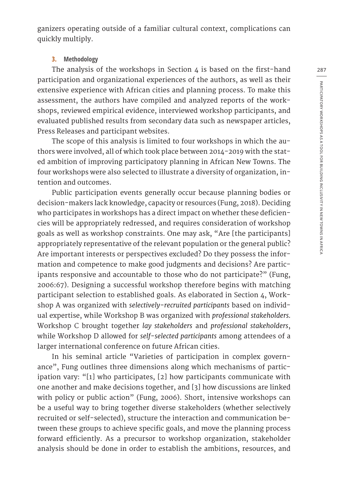ganizers operating outside of a familiar cultural context, complications can quickly multiply.

#### **3. Methodology**

The analysis of the workshops in Section 4 is based on the first-hand participation and organizational experiences of the authors, as well as their extensive experience with African cities and planning process. To make this assessment, the authors have compiled and analyzed reports of the workshops, reviewed empirical evidence, interviewed workshop participants, and evaluated published results from secondary data such as newspaper articles, Press Releases and participant websites.

The scope of this analysis is limited to four workshops in which the authors were involved, all of which took place between 2014-2019 with the stated ambition of improving participatory planning in African New Towns. The four workshops were also selected to illustrate a diversity of organization, intention and outcomes.

Public participation events generally occur because planning bodies or decision-makers lack knowledge, capacity or resources (Fung, 2018). Deciding who participates in workshops has a direct impact on whether these deficiencies will be appropriately redressed, and requires consideration of workshop goals as well as workshop constraints. One may ask, "Are [the participants] appropriately representative of the relevant population or the general public? Are important interests or perspectives excluded? Do they possess the information and competence to make good judgments and decisions? Are participants responsive and accountable to those who do not participate?" (Fung, 2006:67). Designing a successful workshop therefore begins with matching participant selection to established goals. As elaborated in Section 4, Workshop A was organized with *selectively-recruited participants* based on individual expertise, while Workshop B was organized with *professional stakeholders.* Workshop C brought together *lay stakeholders* and *professional stakeholders*, while Workshop D allowed for *self-selected participants* among attendees of a larger international conference on future African cities.

In his seminal article "Varieties of participation in complex governance", Fung outlines three dimensions along which mechanisms of participation vary: "[1] who participates, [2] how participants communicate with one another and make decisions together, and [3] how discussions are linked with policy or public action" (Fung, 2006). Short, intensive workshops can be a useful way to bring together diverse stakeholders (whether selectively recruited or self-selected), structure the interaction and communication between these groups to achieve specific goals, and move the planning process forward efficiently. As a precursor to workshop organization, stakeholder analysis should be done in order to establish the ambitions, resources, and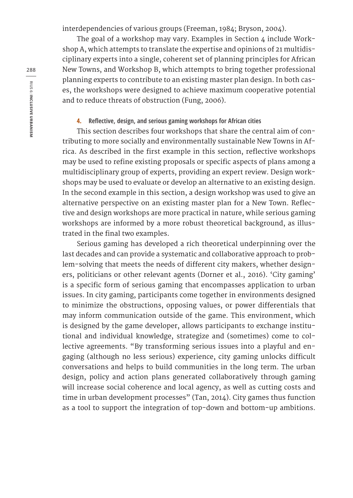interdependencies of various groups (Freeman, 1984; Bryson, 2004).

The goal of a workshop may vary. Examples in Section 4 include Workshop A, which attempts to translate the expertise and opinions of 21 multidisciplinary experts into a single, coherent set of planning principles for African New Towns, and Workshop B, which attempts to bring together professional planning experts to contribute to an existing master plan design. In both cases, the workshops were designed to achieve maximum cooperative potential and to reduce threats of obstruction (Fung, 2006).

#### **4. Reflective, design, and serious gaming workshops for African cities**

This section describes four workshops that share the central aim of contributing to more socially and environmentally sustainable New Towns in Africa. As described in the first example in this section, reflective workshops may be used to refine existing proposals or specific aspects of plans among a multidisciplinary group of experts, providing an expert review. Design workshops may be used to evaluate or develop an alternative to an existing design. In the second example in this section, a design workshop was used to give an alternative perspective on an existing master plan for a New Town. Reflective and design workshops are more practical in nature, while serious gaming workshops are informed by a more robust theoretical background, as illustrated in the final two examples.

Serious gaming has developed a rich theoretical underpinning over the last decades and can provide a systematic and collaborative approach to problem-solving that meets the needs of different city makers, whether designers, politicians or other relevant agents (Dorner et al., 2016). 'City gaming' is a specific form of serious gaming that encompasses application to urban issues. In city gaming, participants come together in environments designed to minimize the obstructions, opposing values, or power differentials that may inform communication outside of the game. This environment, which is designed by the game developer, allows participants to exchange institutional and individual knowledge, strategize and (sometimes) come to collective agreements. "By transforming serious issues into a playful and engaging (although no less serious) experience, city gaming unlocks difficult conversations and helps to build communities in the long term. The urban design, policy and action plans generated collaboratively through gaming will increase social coherence and local agency, as well as cutting costs and time in urban development processes" (Tan, 2014). City games thus function as a tool to support the integration of top-down and bottom-up ambitions.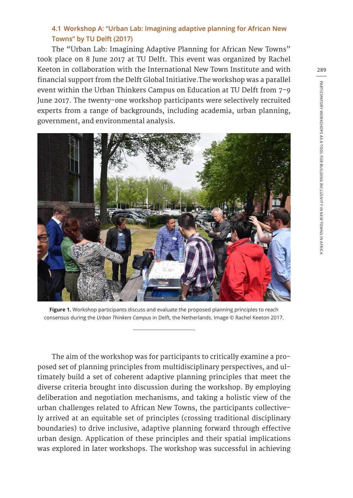### **4.1 Workshop A: "Urban Lab: Imagining adaptive planning for African New Towns" by TU Delft (2017)**

The "Urban Lab: Imagining Adaptive Planning for African New Towns" took place on 8 June 2017 at TU Delft. This event was organized by Rachel Keeton in collaboration with the International New Town Institute and with financial support from the Delft Global Initiative.The workshop was a parallel event within the Urban Thinkers Campus on Education at TU Delft from 7-9 June 2017. The twenty-one workshop participants were selectively recruited experts from a range of backgrounds, including academia, urban planning, government, and environmental analysis.



**Figure 1.** Workshop participants discuss and evaluate the proposed planning principles to reach consensus during the *Urban Thinkers Campus* in Delft, the Netherlands. Image © Rachel Keeton 2017.

The aim of the workshop was for participants to critically examine a proposed set of planning principles from multidisciplinary perspectives, and ultimately build a set of coherent adaptive planning principles that meet the diverse criteria brought into discussion during the workshop. By employing deliberation and negotiation mechanisms, and taking a holistic view of the urban challenges related to African New Towns, the participants collectively arrived at an equitable set of principles (crossing traditional disciplinary boundaries) to drive inclusive, adaptive planning forward through effective urban design. Application of these principles and their spatial implications was explored in later workshops. The workshop was successful in achieving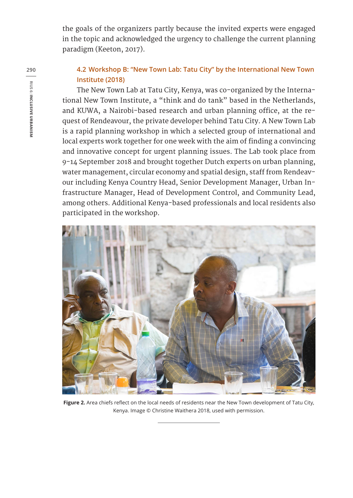the goals of the organizers partly because the invited experts were engaged in the topic and acknowledged the urgency to challenge the current planning paradigm (Keeton, 2017).

## **4.2 Workshop B: "New Town Lab: Tatu City" by the International New Town Institute (2018)**

The New Town Lab at Tatu City, Kenya, was co-organized by the International New Town Institute, a "think and do tank" based in the Netherlands, and KUWA, a Nairobi-based research and urban planning office, at the request of Rendeavour, the private developer behind Tatu City. A New Town Lab is a rapid planning workshop in which a selected group of international and local experts work together for one week with the aim of finding a convincing and innovative concept for urgent planning issues. The Lab took place from 9-14 September 2018 and brought together Dutch experts on urban planning, water management, circular economy and spatial design, staff from Rendeavour including Kenya Country Head, Senior Development Manager, Urban Infrastructure Manager, Head of Development Control, and Community Lead, among others. Additional Kenya-based professionals and local residents also participated in the workshop.



**Figure 2.** Area chiefs reflect on the local needs of residents near the New Town development of Tatu City, Kenya. Image © Christine Waithera 2018, used with permission.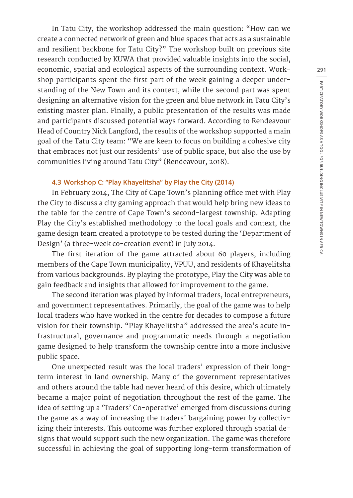In Tatu City, the workshop addressed the main question: "How can we create a connected network of green and blue spaces that acts as a sustainable and resilient backbone for Tatu City?" The workshop built on previous site research conducted by KUWA that provided valuable insights into the social, economic, spatial and ecological aspects of the surrounding context. Workshop participants spent the first part of the week gaining a deeper understanding of the New Town and its context, while the second part was spent designing an alternative vision for the green and blue network in Tatu City's existing master plan. Finally, a public presentation of the results was made and participants discussed potential ways forward. According to Rendeavour Head of Country Nick Langford, the results of the workshop supported a main goal of the Tatu City team: "We are keen to focus on building a cohesive city that embraces not just our residents' use of public space, but also the use by communities living around Tatu City" (Rendeavour, 2018).

#### **4.3 Workshop C: "Play Khayelitsha" by Play the City (2014)**

In February 2014, The City of Cape Town's planning office met with Play the City to discuss a city gaming approach that would help bring new ideas to the table for the centre of Cape Town's second-largest township. Adapting Play the City's established methodology to the local goals and context, the game design team created a prototype to be tested during the 'Department of Design' (a three-week co-creation event) in July 2014.

The first iteration of the game attracted about 60 players, including members of the Cape Town municipality, VPUU, and residents of Khayelitsha from various backgrounds. By playing the prototype, Play the City was able to gain feedback and insights that allowed for improvement to the game.

The second iteration was played by informal traders, local entrepreneurs, and government representatives. Primarily, the goal of the game was to help local traders who have worked in the centre for decades to compose a future vision for their township. "Play Khayelitsha" addressed the area's acute infrastructural, governance and programmatic needs through a negotiation game designed to help transform the township centre into a more inclusive public space.

One unexpected result was the local traders' expression of their longterm interest in land ownership. Many of the government representatives and others around the table had never heard of this desire, which ultimately became a major point of negotiation throughout the rest of the game. The idea of setting up a 'Traders' Co-operative' emerged from discussions during the game as a way of increasing the traders' bargaining power by collectivizing their interests. This outcome was further explored through spatial designs that would support such the new organization. The game was therefore successful in achieving the goal of supporting long-term transformation of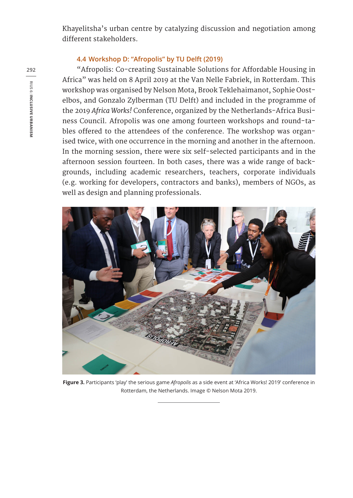Khayelitsha's urban centre by catalyzing discussion and negotiation among different stakeholders.

#### **4.4 Workshop D: "Afropolis" by TU Delft (2019)**

"Afropolis: Co-creating Sustainable Solutions for Affordable Housing in Africa" was held on 8 April 2019 at the Van Nelle Fabriek, in Rotterdam. This workshop was organised by Nelson Mota, Brook Teklehaimanot, Sophie Oostelbos, and Gonzalo Zylberman (TU Delft) and included in the programme of the 2019 *Africa Works!* Conference, organized by the Netherlands-Africa Business Council. Afropolis was one among fourteen workshops and round-tables offered to the attendees of the conference. The workshop was organised twice, with one occurrence in the morning and another in the afternoon. In the morning session, there were six self-selected participants and in the afternoon session fourteen. In both cases, there was a wide range of backgrounds, including academic researchers, teachers, corporate individuals (e.g. working for developers, contractors and banks), members of NGOs, as well as design and planning professionals.



**Figure 3.** Participants 'play' the serious game *Afropolis* as a side event at 'Africa Works! 2019' conference in Rotterdam, the Netherlands. Image © Nelson Mota 2019.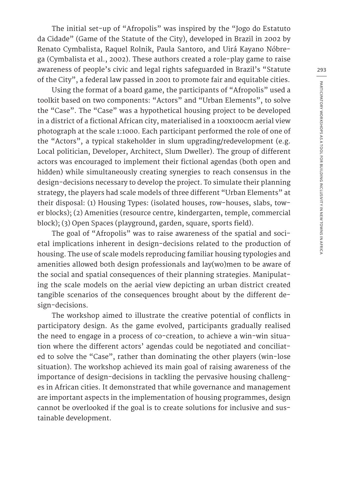The initial set-up of "Afropolis" was inspired by the "Jogo do Estatuto da Cidade" (Game of the Statute of the City), developed in Brazil in 2002 by Renato Cymbalista, Raquel Rolnik, Paula Santoro, and Uirá Kayano Nóbrega (Cymbalista et al., 2002). These authors created a role-play game to raise awareness of people's civic and legal rights safeguarded in Brazil's "Statute of the City", a federal law passed in 2001 to promote fair and equitable cities.

Using the format of a board game, the participants of "Afropolis" used a toolkit based on two components: "Actors" and "Urban Elements", to solve the "Case". The "Case" was a hypothetical housing project to be developed in a district of a fictional African city, materialised in a 100x100cm aerial view photograph at the scale 1:1000. Each participant performed the role of one of the "Actors", a typical stakeholder in slum upgrading/redevelopment (e.g. Local politician, Developer, Architect, Slum Dweller). The group of different actors was encouraged to implement their fictional agendas (both open and hidden) while simultaneously creating synergies to reach consensus in the design-decisions necessary to develop the project. To simulate their planning strategy, the players had scale models of three different "Urban Elements" at their disposal: (1) Housing Types: (isolated houses, row-houses, slabs, tower blocks); (2) Amenities (resource centre, kindergarten, temple, commercial block); (3) Open Spaces (playground, garden, square, sports field).

The goal of "Afropolis" was to raise awareness of the spatial and societal implications inherent in design-decisions related to the production of housing. The use of scale models reproducing familiar housing typologies and amenities allowed both design professionals and lay(wo)men to be aware of the social and spatial consequences of their planning strategies. Manipulating the scale models on the aerial view depicting an urban district created tangible scenarios of the consequences brought about by the different design-decisions.

The workshop aimed to illustrate the creative potential of conflicts in participatory design. As the game evolved, participants gradually realised the need to engage in a process of co-creation, to achieve a win-win situation where the different actors' agendas could be negotiated and conciliated to solve the "Case", rather than dominating the other players (win-lose situation). The workshop achieved its main goal of raising awareness of the importance of design-decisions in tackling the pervasive housing challenges in African cities. It demonstrated that while governance and management are important aspects in the implementation of housing programmes, design cannot be overlooked if the goal is to create solutions for inclusive and sustainable development.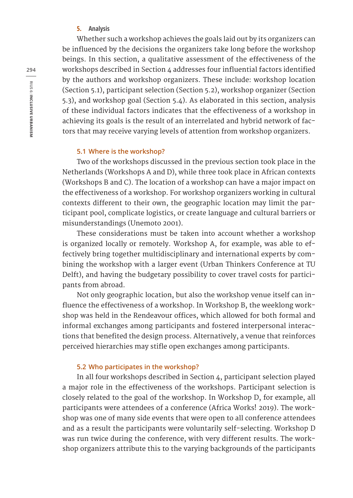#### **5. Analysis**

Whether such a workshop achieves the goals laid out by its organizers can be influenced by the decisions the organizers take long before the workshop beings. In this section, a qualitative assessment of the effectiveness of the workshops described in Section 4 addresses four influential factors identified by the authors and workshop organizers. These include: workshop location (Section 5.1), participant selection (Section 5.2), workshop organizer (Section 5.3), and workshop goal (Section 5.4). As elaborated in this section, analysis of these individual factors indicates that the effectiveness of a workshop in achieving its goals is the result of an interrelated and hybrid network of factors that may receive varying levels of attention from workshop organizers.

#### **5.1 Where is the workshop?**

Two of the workshops discussed in the previous section took place in the Netherlands (Workshops A and D), while three took place in African contexts (Workshops B and C). The location of a workshop can have a major impact on the effectiveness of a workshop. For workshop organizers working in cultural contexts different to their own, the geographic location may limit the participant pool, complicate logistics, or create language and cultural barriers or misunderstandings (Unemoto 2001).

These considerations must be taken into account whether a workshop is organized locally or remotely. Workshop A, for example, was able to effectively bring together multidisciplinary and international experts by combining the workshop with a larger event (Urban Thinkers Conference at TU Delft), and having the budgetary possibility to cover travel costs for participants from abroad.

Not only geographic location, but also the workshop venue itself can influence the effectiveness of a workshop. In Workshop B, the weeklong workshop was held in the Rendeavour offices, which allowed for both formal and informal exchanges among participants and fostered interpersonal interactions that benefited the design process. Alternatively, a venue that reinforces perceived hierarchies may stifle open exchanges among participants.

#### **5.2 Who participates in the workshop?**

In all four workshops described in Section 4, participant selection played a major role in the effectiveness of the workshops. Participant selection is closely related to the goal of the workshop. In Workshop D, for example, all participants were attendees of a conference (Africa Works! 2019). The workshop was one of many side events that were open to all conference attendees and as a result the participants were voluntarily self-selecting. Workshop D was run twice during the conference, with very different results. The workshop organizers attribute this to the varying backgrounds of the participants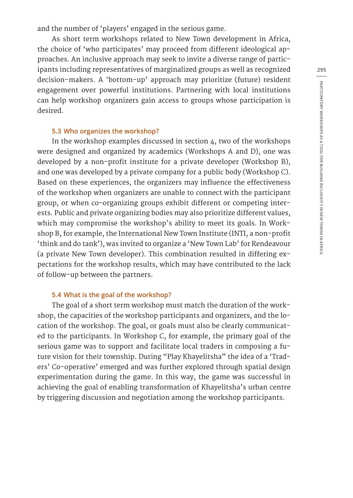and the number of 'players' engaged in the serious game.

As short term workshops related to New Town development in Africa, the choice of 'who participates' may proceed from different ideological approaches. An inclusive approach may seek to invite a diverse range of participants including representatives of marginalized groups as well as recognized decision-makers. A 'bottom-up' approach may prioritize (future) resident engagement over powerful institutions. Partnering with local institutions can help workshop organizers gain access to groups whose participation is desired.

#### **5.3 Who organizes the workshop?**

In the workshop examples discussed in section 4, two of the workshops were designed and organized by academics (Workshops A and D), one was developed by a non-profit institute for a private developer (Workshop B), and one was developed by a private company for a public body (Workshop C). Based on these experiences, the organizers may influence the effectiveness of the workshop when organizers are unable to connect with the participant group, or when co-organizing groups exhibit different or competing interests. Public and private organizing bodies may also prioritize different values, which may compromise the workshop's ability to meet its goals. In Workshop B, for example, the International New Town Institute (INTI, a non-profit 'think and do tank'), was invited to organize a 'New Town Lab' for Rendeavour (a private New Town developer). This combination resulted in differing expectations for the workshop results, which may have contributed to the lack of follow-up between the partners.

#### **5.4 What is the goal of the workshop?**

The goal of a short term workshop must match the duration of the workshop, the capacities of the workshop participants and organizers, and the location of the workshop. The goal, or goals must also be clearly communicated to the participants. In Workshop C, for example, the primary goal of the serious game was to support and facilitate local traders in composing a future vision for their township. During "Play Khayelitsha" the idea of a 'Traders' Co-operative' emerged and was further explored through spatial design experimentation during the game. In this way, the game was successful in achieving the goal of enabling transformation of Khayelitsha's urban centre by triggering discussion and negotiation among the workshop participants.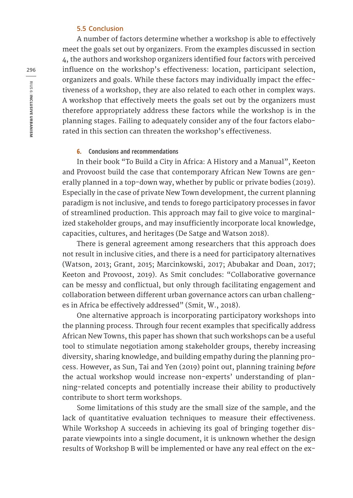#### **5.5 Conclusion**

A number of factors determine whether a workshop is able to effectively meet the goals set out by organizers. From the examples discussed in section 4, the authors and workshop organizers identified four factors with perceived influence on the workshop's effectiveness: location, participant selection, organizers and goals. While these factors may individually impact the effectiveness of a workshop, they are also related to each other in complex ways. A workshop that effectively meets the goals set out by the organizers must therefore appropriately address these factors while the workshop is in the planning stages. Failing to adequately consider any of the four factors elaborated in this section can threaten the workshop's effectiveness.

#### **6. Conclusions and recommendations**

In their book "To Build a City in Africa: A History and a Manual", Keeton and Provoost build the case that contemporary African New Towns are generally planned in a top-down way, whether by public or private bodies (2019). Especially in the case of private New Town development, the current planning paradigm is not inclusive, and tends to forego participatory processes in favor of streamlined production. This approach may fail to give voice to marginalized stakeholder groups, and may insufficiently incorporate local knowledge, capacities, cultures, and heritages (De Satge and Watson 2018).

There is general agreement among researchers that this approach does not result in inclusive cities, and there is a need for participatory alternatives (Watson, 2013; Grant, 2015; Marcinkowski, 2017; Abubakar and Doan, 2017; Keeton and Provoost, 2019). As Smit concludes: "Collaborative governance can be messy and conflictual, but only through facilitating engagement and collaboration between different urban governance actors can urban challenges in Africa be effectively addressed" (Smit, W., 2018).

One alternative approach is incorporating participatory workshops into the planning process. Through four recent examples that specifically address African New Towns, this paper has shown that such workshops can be a useful tool to stimulate negotiation among stakeholder groups, thereby increasing diversity, sharing knowledge, and building empathy during the planning process. However, as Sun, Tai and Yen (2019) point out, planning training *before* the actual workshop would increase non-experts' understanding of planning-related concepts and potentially increase their ability to productively contribute to short term workshops.

Some limitations of this study are the small size of the sample, and the lack of quantitative evaluation techniques to measure their effectiveness. While Workshop A succeeds in achieving its goal of bringing together disparate viewpoints into a single document, it is unknown whether the design results of Workshop B will be implemented or have any real effect on the ex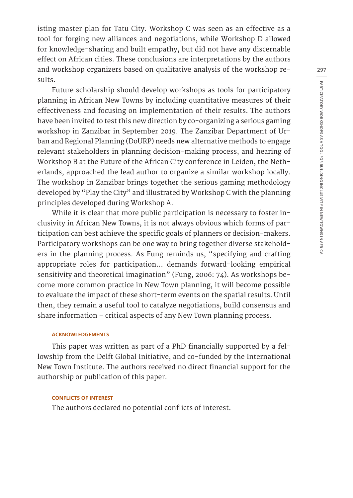isting master plan for Tatu City. Workshop C was seen as an effective as a tool for forging new alliances and negotiations, while Workshop D allowed for knowledge-sharing and built empathy, but did not have any discernable effect on African cities. These conclusions are interpretations by the authors and workshop organizers based on qualitative analysis of the workshop results.

Future scholarship should develop workshops as tools for participatory planning in African New Towns by including quantitative measures of their effectiveness and focusing on implementation of their results. The authors have been invited to test this new direction by co-organizing a serious gaming workshop in Zanzibar in September 2019. The Zanzibar Department of Urban and Regional Planning (DoURP) needs new alternative methods to engage relevant stakeholders in planning decision-making process, and hearing of Workshop B at the Future of the African City conference in Leiden, the Netherlands, approached the lead author to organize a similar workshop locally. The workshop in Zanzibar brings together the serious gaming methodology developed by "Play the City" and illustrated by Workshop C with the planning principles developed during Workshop A.

While it is clear that more public participation is necessary to foster inclusivity in African New Towns, it is not always obvious which forms of participation can best achieve the specific goals of planners or decision-makers. Participatory workshops can be one way to bring together diverse stakeholders in the planning process. As Fung reminds us, "specifying and crafting appropriate roles for participation… demands forward-looking empirical sensitivity and theoretical imagination" (Fung, 2006: 74). As workshops become more common practice in New Town planning, it will become possible to evaluate the impact of these short-term events on the spatial results. Until then, they remain a useful tool to catalyze negotiations, build consensus and share information – critical aspects of any New Town planning process.

#### **ACKNOWLEDGEMENTS**

This paper was written as part of a PhD financially supported by a fellowship from the Delft Global Initiative, and co-funded by the International New Town Institute. The authors received no direct financial support for the authorship or publication of this paper.

#### **CONFLICTS OF INTEREST**

The authors declared no potential conflicts of interest.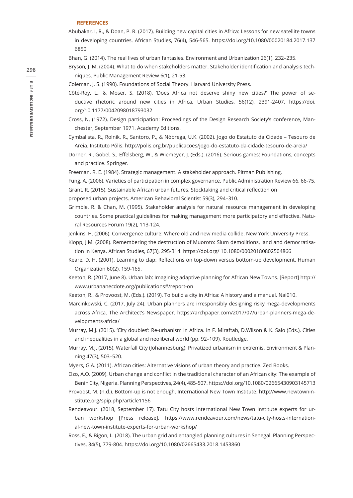#### **REFERENCES**

- Abubakar, I. R., & Doan, P. R. (2017). Building new capital cities in Africa: Lessons for new satellite towns in developing countries. African Studies, 76(4), 546-565. https://doi.org/10.1080/00020184.2017.137 6850
- Bhan, G. (2014). The real lives of urban fantasies. Environment and Urbanization 26(1), 232–235.
- Bryson, J. M. (2004). What to do when stakeholders matter. Stakeholder identification and analysis techniques. Public Management Review 6(1), 21-53.
- Coleman, J. S. (1990). Foundations of Social Theory. Harvard University Press.
- Côté-Roy, L., & Moser, S. (2018). 'Does Africa not deserve shiny new cities?' The power of seductive rhetoric around new cities in Africa. Urban Studies, 56(12), 2391-2407. https://doi. org/10.1177/0042098018793032
- Cross, N. (1972). Design participation: Proceedings of the Design Research Society's conference, Manchester, September 1971. Academy Editions.
- Cymbalista, R., Rolnik, R., Santoro, P., & Nóbrega, U.K. (2002). Jogo do Estatuto da Cidade Tesouro de Areia. Instituto Pólis. http://polis.org.br/publicacoes/jogo-do-estatuto-da-cidade-tesouro-de-areia/
- Dorner, R., Gobel, S., Effelsberg, W., & Wiemeyer, J. (Eds.). (2016). Serious games: Foundations, concepts and practice. Springer.
- Freeman, R. E. (1984). Strategic management. A stakeholder approach. Pitman Publishing.
- Fung, A. (2006). Varieties of participation in complex governance. Public Administration Review 66, 66-75.
- Grant, R. (2015). Sustainable African urban futures. Stocktaking and critical reflection on
- proposed urban projects. American Behavioral Scientist 59(3), 294–310.
- Grimble, R. & Chan, M. (1995). Stakeholder analysis for natural resource management in developing countries. Some practical guidelines for making management more participatory and effective. Natural Resources Forum 19(2), 113-124.
- Jenkins, H. (2006). Convergence culture: Where old and new media collide. New York University Press.
- Klopp, J.M. (2008). Remembering the destruction of Muoroto: Slum demolitions, land and democratisation in Kenya. African Studies, 67(3), 295-314. https://doi.org/ 10.1080/00020180802504866
- Keare, D. H. (2001). Learning to clap: Reflections on top-down versus bottom-up development. Human Organization 60(2), 159-165.
- Keeton, R. (2017, June 8). Urban lab: Imagining adaptive planning for African New Towns. [Report] http:// www.urbananecdote.org/publications#/report-on
- Keeton, R., & Provoost, M. (Eds.). (2019). To build a city in Africa: A history and a manual. Nai010.
- Marcinkowski, C. (2017, July 24). Urban planners are irresponsibly designing risky mega-developments across Africa. The Architect's Newspaper. https://archpaper.com/2017/07/urban-planners-mega-developments-africa/
- Murray, M.J. (2015). 'City doubles': Re-urbanism in Africa. In F. Miraftab, D.Wilson & K. Salo (Eds.), Cities and inequalities in a global and neoliberal world (pp. 92–109). Routledge.
- Murray, M.J. (2015). Waterfall City (Johannesburg): Privatized urbanism in extremis. Environment & Planning 47(3), 503–520.
- Myers, G.A. (2011). African cities: Alternative visions of urban theory and practice. Zed Books.
- Ozo, A.O. (2009). Urban change and conflict in the traditional character of an African city: The example of Benin City, Nigeria. Planning Perspectives, 24(4), 485-507. https://doi.org/10.1080/02665430903145713
- Provoost, M. (n.d.). Bottom-up is not enough. International New Town Institute. http://www.newtowninstitute.org/spip.php?article1156
- Rendeavour. (2018, September 17). Tatu City hosts International New Town Institute experts for urban workshop [Press release]. https://www.rendeavour.com/news/tatu-city-hosts-international-new-town-institute-experts-for-urban-workshop/
- Ross, E., & Bigon, L. (2018). The urban grid and entangled planning cultures in Senegal. Planning Perspectives, 34(5), 779-804. https://doi.org/10.1080/02665433.2018.1453860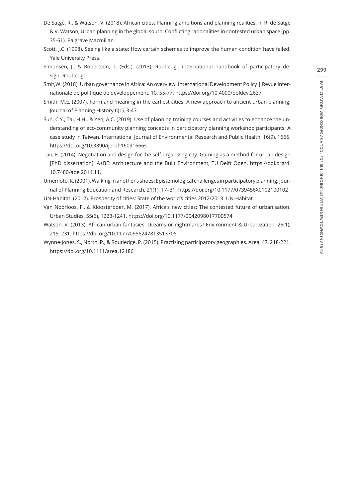- De Satgé, R., & Watson, V. (2018). African cities: Planning ambitions and planning realities. In R. de Satgé & V. Watson, Urban planning in the global south: Conflicting rationalities in contested urban space (pp. 35-61). Palgrave Macmillan
- Scott, J.C. (1998). Seeing like a state: How certain schemes to improve the human condition have failed. Yale University Press.
- Simonsen, J., & Robertson, T. (Eds.). (2013). Routledge international handbook of participatory design. Routledge.
- Smit,W. (2018). Urban governance in Africa: An overview. International Development Policy | Revue internationale de politique de développement, 10, 55-77. https://doi.org/10.4000/poldev.2637
- Smith, M.E. (2007). Form and meaning in the earliest cities: A new approach to ancient urban planning. Journal of Planning History 6(1), 3-47.
- Sun, C.Y., Tai, H.H., & Yen, A.C. (2019). Use of planning training courses and activities to enhance the understanding of eco-community planning concepts in participatory planning workshop participants: A case study in Taiwan. International Journal of Environmental Research and Public Health, 16(9), 1666. https://doi.org/10.3390/ijerph16091666s
- Tan, E. (2014). Negotiation and design for the self-organizing city. Gaming as a method for urban design [PhD dissertation]. A+BE: Architecture and the Built Environment, TU Delft Open. https://doi.org/4. 10.7480/abe.2014.11.
- Umemoto, K. (2001). Walking in another's shoes: Epistemological challenges in participatory planning. Journal of Planning Education and Research, 21(1), 17–31. https://doi.org/10.1177/0739456X0102100102 UN-Habitat. (2012). Prosperity of cities: State of the world's cities 2012/2013. UN-Habitat.
- Van Noorloos, F., & Kloosterboer, M. (2017). Africa's new cities: The contested future of urbanisation. Urban Studies, 55(6), 1223-1241. https://doi.org/10.1177/0042098017700574
- Watson, V. (2013). African urban fantasies: Dreams or nightmares? Environment & Urbanization, 26(1), 215–231. https://doi.org/10.1177/0956247813513705
- Wynne-Jones, S., North, P., & Routledge, P. (2015). Practising participatory geographies. Area, 47, 218-221. https://doi.org/10.1111/area.12186